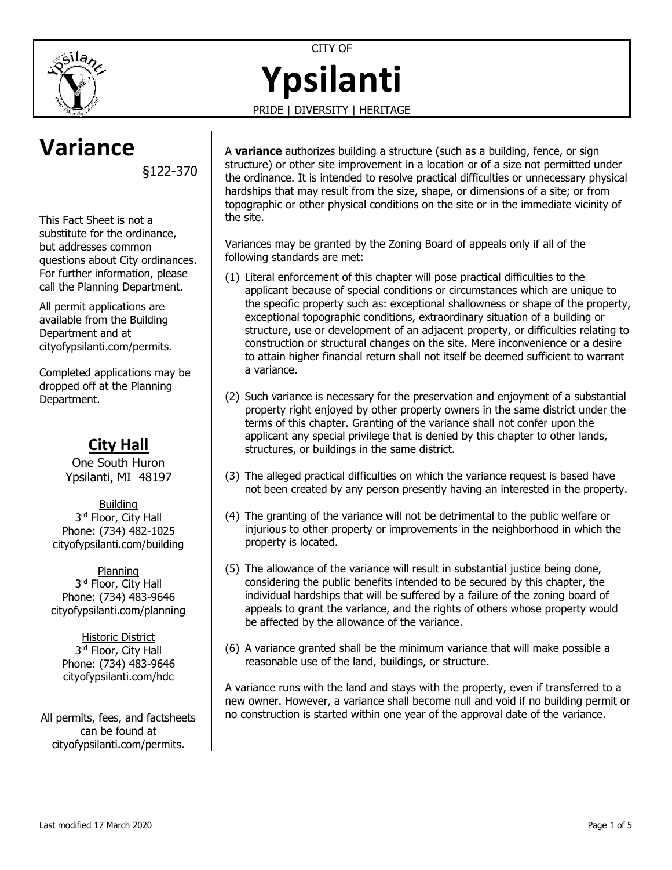



**Ypsilanti**

PRIDE | DIVERSITY | HERITAGE

# **Variance**

§122-370

This Fact Sheet is not a substitute for the ordinance, but addresses common questions about City ordinances. For further information, please call the Planning Department.

All permit applications are available from the Building Department and at [cityofypsilanti.com/permits.](http://www.cityofypsilanti.com/permits)

Completed applications may be dropped off at the Planning Department.

# **City Hall**

One South Huron Ypsilanti, MI 48197

Building 3<sup>rd</sup> Floor, City Hall Phone: (734) 482-1025 [cityofypsilanti.com/building](http://www.cityofypsilanti.com/building)

Planning 3<sup>rd</sup> Floor, City Hall Phone: (734) 483-9646 [cityofypsilanti.com/planning](http://www.cityofypsilanti.com/planning)

Historic District 3<sup>rd</sup> Floor, City Hall Phone: (734) 483-9646 [cityofypsilanti.com/hdc](http://www.cityofypsilanti.com/hdc)

All permits, fees, and factsheets can be found at [cityofypsilanti.com/permits.](http://www.cityofypsilanti.com/permits)

A **variance** authorizes building a structure (such as a building, fence, or sign structure) or other site improvement in a location or of a size not permitted under the ordinance. It is intended to resolve practical difficulties or unnecessary physical hardships that may result from the size, shape, or dimensions of a site; or from topographic or other physical conditions on the site or in the immediate vicinity of the site.

Variances may be granted by the Zoning Board of appeals only if all of the following standards are met:

- (1) Literal enforcement of this chapter will pose practical difficulties to the applicant because of special conditions or circumstances which are unique to the specific property such as: exceptional shallowness or shape of the property, exceptional topographic conditions, extraordinary situation of a building or structure, use or development of an adjacent property, or difficulties relating to construction or structural changes on the site. Mere inconvenience or a desire to attain higher financial return shall not itself be deemed sufficient to warrant a variance.
- (2) Such variance is necessary for the preservation and enjoyment of a substantial property right enjoyed by other property owners in the same district under the terms of this chapter. Granting of the variance shall not confer upon the applicant any special privilege that is denied by this chapter to other lands, structures, or buildings in the same district.
- (3) The alleged practical difficulties on which the variance request is based have not been created by any person presently having an interested in the property.
- (4) The granting of the variance will not be detrimental to the public welfare or injurious to other property or improvements in the neighborhood in which the property is located.
- (5) The allowance of the variance will result in substantial justice being done, considering the public benefits intended to be secured by this chapter, the individual hardships that will be suffered by a failure of the zoning board of appeals to grant the variance, and the rights of others whose property would be affected by the allowance of the variance.
- (6) A variance granted shall be the minimum variance that will make possible a reasonable use of the land, buildings, or structure.

A variance runs with the land and stays with the property, even if transferred to a new owner. However, a variance shall become null and void if no building permit or no construction is started within one year of the approval date of the variance.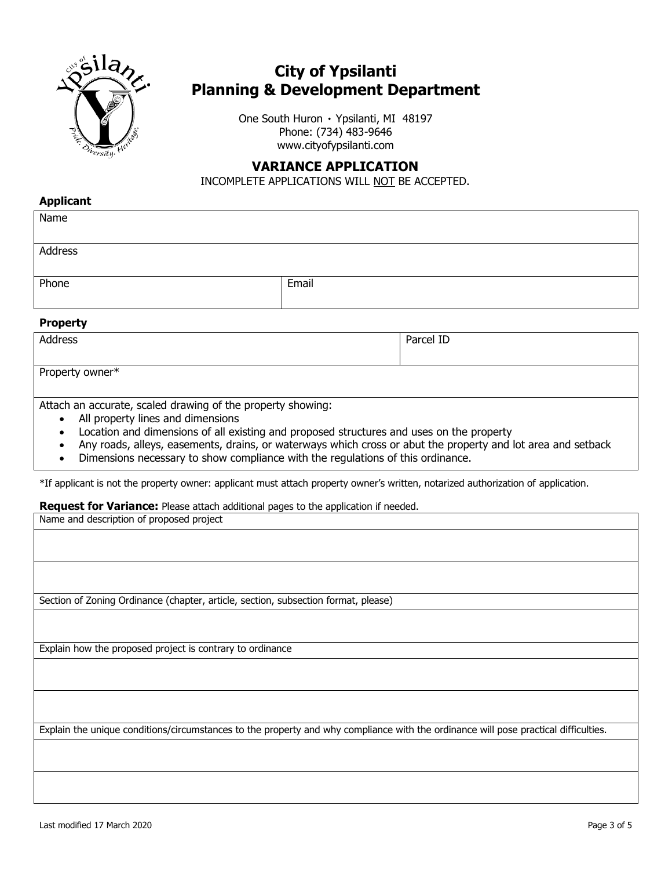

# **City of Ypsilanti Planning & Development Department**

One South Huron ۰ Ypsilanti, MI 48197 Phone: (734) 483-9646 www.cityofypsilanti.com

## **VARIANCE APPLICATION**

INCOMPLETE APPLICATIONS WILL NOT BE ACCEPTED.

## **Applicant**

| Name    |       |
|---------|-------|
|         |       |
| Address |       |
|         |       |
| Phone   | Email |
|         |       |

## **Property**

| Address                                                                                                                                                                                                                            | Parcel ID |
|------------------------------------------------------------------------------------------------------------------------------------------------------------------------------------------------------------------------------------|-----------|
| Property owner*                                                                                                                                                                                                                    |           |
| $\bullet$ . The set of the set of the set of the set of the set of the set of the set of the set of the set of the set of the set of the set of the set of the set of the set of the set of the set of the set of the set of the s |           |

Attach an accurate, scaled drawing of the property showing:

- All property lines and dimensions
- Location and dimensions of all existing and proposed structures and uses on the property
- Any roads, alleys, easements, drains, or waterways which cross or abut the property and lot area and setback
- Dimensions necessary to show compliance with the regulations of this ordinance.

\*If applicant is not the property owner: applicant must attach property owner's written, notarized authorization of application.

## **Request for Variance:** Please attach additional pages to the application if needed.

| Section of Zoning Ordinance (chapter, article, section, subsection format, please)                                                  |
|-------------------------------------------------------------------------------------------------------------------------------------|
|                                                                                                                                     |
|                                                                                                                                     |
|                                                                                                                                     |
|                                                                                                                                     |
|                                                                                                                                     |
|                                                                                                                                     |
|                                                                                                                                     |
|                                                                                                                                     |
| Explain how the proposed project is contrary to ordinance                                                                           |
|                                                                                                                                     |
|                                                                                                                                     |
|                                                                                                                                     |
|                                                                                                                                     |
|                                                                                                                                     |
| Explain the unique conditions/circumstances to the property and why compliance with the ordinance will pose practical difficulties. |
|                                                                                                                                     |
|                                                                                                                                     |
|                                                                                                                                     |
|                                                                                                                                     |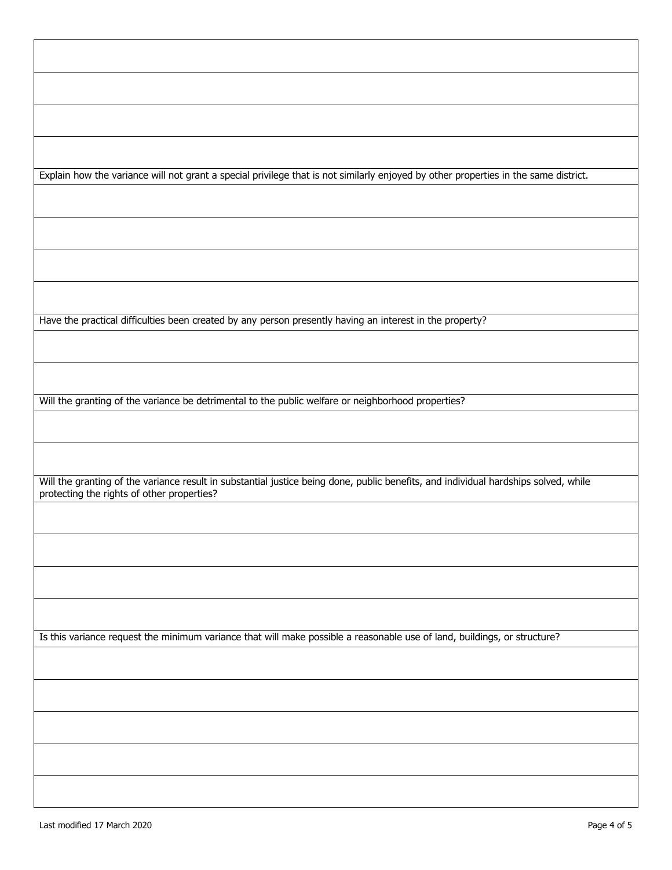|  |  | Explain how the variance will not grant a special privilege that is not similarly enjoyed by other properties in the same district. |  |
|--|--|-------------------------------------------------------------------------------------------------------------------------------------|--|
|  |  |                                                                                                                                     |  |

Have the practical difficulties been created by any person presently having an interest in the property?

Will the granting of the variance be detrimental to the public welfare or neighborhood properties?

Will the granting of the variance result in substantial justice being done, public benefits, and individual hardships solved, while protecting the rights of other properties?

Is this variance request the minimum variance that will make possible a reasonable use of land, buildings, or structure?